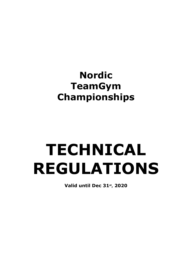# **Nordic TeamGym Championships**

# **TECHNICAL REGULATIONS**

**Valid until Dec 31st, 2020**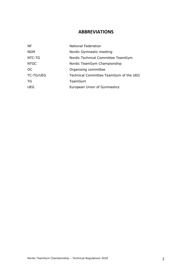# **ABBREVIATIONS**

| <b>NF</b>        | National Federation                    |
|------------------|----------------------------------------|
| <b>NGM</b>       | Nordic Gymnastic meeting               |
| NTC-TG           | Nordic Technical Committee TeamGym     |
| <b>NTGC</b>      | Nordic TeamGym Championship            |
| OC.              | Organising committee                   |
| <b>TC-TG/UEG</b> | Technical Committee TeamGym of the UEG |
| TG               | TeamGym                                |
| <b>UEG</b>       | European Union of Gymnastics           |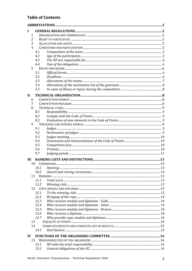# **Table of Contents**

| п              |            |  |  |
|----------------|------------|--|--|
| 1              |            |  |  |
| 2              |            |  |  |
| 3              |            |  |  |
| $\overline{4}$ |            |  |  |
|                | 4.1        |  |  |
|                | 4.2        |  |  |
|                | 4.3        |  |  |
|                | 4.4        |  |  |
| 5              |            |  |  |
|                | 5.1        |  |  |
|                | 5.2        |  |  |
|                | 5.3        |  |  |
|                | 5.4        |  |  |
|                | 5.5        |  |  |
| $\mathbf{H}$   |            |  |  |
| 6              |            |  |  |
| 7              |            |  |  |
| 8              |            |  |  |
|                | 8.1        |  |  |
|                | 8.2        |  |  |
|                | 8.3        |  |  |
| 9              |            |  |  |
|                | 9.1        |  |  |
|                | 9.2        |  |  |
|                | 9.3        |  |  |
|                | 9.4        |  |  |
|                | 9.5        |  |  |
|                | 9.6        |  |  |
|                | 9.7        |  |  |
|                |            |  |  |
| Ш              |            |  |  |
| 10             |            |  |  |
|                | 10.1       |  |  |
|                | 10.2       |  |  |
|                | 11         |  |  |
|                | 11.1       |  |  |
|                | 11.2<br>12 |  |  |
|                | 12.1       |  |  |
|                | 12.2       |  |  |
|                | 12.3       |  |  |
|                | 12.4       |  |  |
|                | 12.5       |  |  |
|                | 12.6       |  |  |
|                | 12.7       |  |  |
| 13             |            |  |  |
| 14             |            |  |  |
|                | 14.1       |  |  |
|                |            |  |  |
| $\bf{IV}$      |            |  |  |
|                | 15         |  |  |
|                | 15.1       |  |  |
|                | 15.2       |  |  |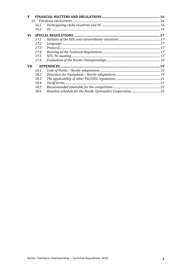| $\mathbf{V}$ |      |                                                                                                                                 |  |
|--------------|------|---------------------------------------------------------------------------------------------------------------------------------|--|
|              | 16   |                                                                                                                                 |  |
|              | 16.1 | $\label{prop:1} \emph{Participating clubs, countries and OC} \emph{} \emph{} \emph{} \emph{} \emph{} \emph{} \emph{} \emph{16}$ |  |
|              | 16.2 |                                                                                                                                 |  |
| VI           |      |                                                                                                                                 |  |
|              | 17.1 |                                                                                                                                 |  |
|              | 17.2 |                                                                                                                                 |  |
|              | 17.3 |                                                                                                                                 |  |
|              | 17.4 |                                                                                                                                 |  |
|              | 17.5 |                                                                                                                                 |  |
|              | 17.6 |                                                                                                                                 |  |
| <b>VII</b>   |      |                                                                                                                                 |  |
|              | 18.1 |                                                                                                                                 |  |
|              | 18.2 |                                                                                                                                 |  |
|              | 18.3 |                                                                                                                                 |  |
|              | 18.4 |                                                                                                                                 |  |
|              | 18.5 |                                                                                                                                 |  |
|              | 18.6 |                                                                                                                                 |  |
|              |      |                                                                                                                                 |  |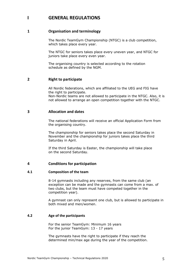# **I GENERAL REGULATIONS**

#### **1 Organisation and terminology**

The Nordic TeamGym Championship (NTGC) is a club competition, which takes place every year.

The NTGC for seniors takes place every uneven year, and NTGC for juniors take place every even year.

The organising country is selected according to the rotation schedule as defined by the NGM.

#### **2 Right to participate**

All Nordic federations, which are affiliated to the UEG and FIG have the right to participate.

Non-Nordic teams are not allowed to participate in the NTGC. Also, it is not allowed to arrange an open competition together with the NTGC.

#### **3 Allocation and dates**

The national federations will receive an official Application Form from the organising country.

The championship for seniors takes place the second Saturday in November and the championship for juniors takes place the third Saturday in April.

If the third Saturday is Easter, the championship will take place on the second Saturday.

#### **4 Conditions for participation**

#### **4.1 Composition of the team**

8-14 gymnasts including any reserves, from the same club (an exception can be made and the gymnasts can come from a max. of two clubs, but the team must have competed together in the competition year).

A gymnast can only represent one club, but is allowed to participate in both mixed and men/women.

#### **4.2 Age of the participants**

For the senior TeamGym: Minimum 16 years For the junior TeamGym: 13 - 17 years

The gymnasts have the right to participate if they reach the determined min/max age during the year of the competition.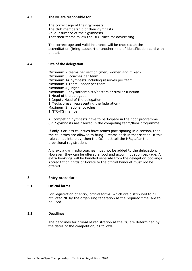#### **4.3 The NF are responsible for**

The correct age of their gymnasts. The club membership of their gymnasts. Valid insurance of their gymnasts. That their teams follow the UEG rules for advertising.

The correct age and valid insurance will be checked at the accreditation (bring passport or another kind of identification card with photo).

#### **4.4 Size of the delegation**

Maximum 2 teams per section (men, women and mixed) Maximum 3 coaches per team Maximum 14 gymnasts including reserves per team Maximum 1 Team Leader per team Maximum 4 judges Maximum 2 physiotherapists/doctors or similar function 1 Head of the delegation 1 Deputy Head of the delegation 1 Media/press (representing the federation) Maximum 2 national coaches 1 NTC-TG member

All competing gymnasts have to participate in the floor programme. 8-12 gymnasts are allowed in the competing team/floor programme.

If only 3 or less countries have teams participating in a section, then the countries are allowed to bring 3 teams each in that section. If this rule comes into play, then the OC must tell the NFs, after the provisional registration.

Any extra gymnasts/coaches must not be added to the delegation. However, they can be offered a food and accommodation package. All extra bookings will be handled separate from the delegation bookings. Accreditation cards or tickets to the official banquet must not be offered.

#### **5 Entry procedure**

#### **5.1 Official forms**

For registration of entry, official forms, which are distributed to all affiliated NF by the organizing federation at the required time, are to be used.

#### **5.2 Deadlines**

The deadlines for arrival of registration at the OC are determined by the dates of the competition, as follows.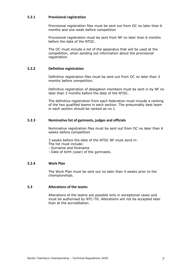#### **5.2.1 Provisional registration**

Provisional registration files must be sent out from OC no later than 6 months and one week before competition

Provisional registration must be sent from NF no later than 6 months before the date of the NTGC.

The OC must include a list of the apparatus that will be used at the competition, when sending out information about the provisional registration.

#### **5.2.2 Definitive registration**

Definitive registration files must be sent out from OC no later than 3 months before competition.

Definitive registration of delegation members must be sent in by NF no later than 2 months before the date of the NTGC.

The definitive registration from each federation must include a ranking of the two qualified teams in each section. The presumably best team in each section should be ranked as no 1.

#### **5.2.3 Nominative list of gymnasts, judges and officials**

Nominative registration files must be sent out from OC no later than 6 weeks before competition

3 weeks before the date of the NTGC NF must send in: The list must include:

- Surname and forename
- Date of birth (year) of the gymnasts.

#### **5.2.4 Work Plan**

The Work Plan must be sent out no later than 4 weeks prior to the championships.

#### **5.3 Alterations of the teams**

Alterations of the teams are possible only in exceptional cases and must be authorised by NTC-TG. Alterations will not be accepted later than at the accreditation.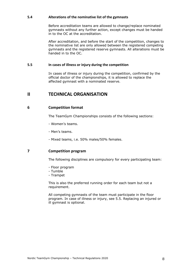#### **5.4 Alterations of the nominative list of the gymnasts**

Before accreditation teams are allowed to change/replace nominated gymnasts without any further action, except changes must be handed in to the OC at the accreditation.

After accreditation, and before the start of the competition, changes to the nominative list are only allowed between the registered competing gymnasts and the registered reserve gymnasts. All alterations must be handed in to the OC.

#### **5.5 In cases of illness or injury during the competition**

In cases of illness or injury during the competition, confirmed by the official doctor of the championships, it is allowed to replace the affected gymnast with a nominated reserve.

# **II TECHNICAL ORGANISATION**

#### **6 Competition format**

The TeamGym Championships consists of the following sections:

- Women's teams.
- Men's teams.
- Mixed teams, i.e. 50% males/50% females.

#### **7 Competition program**

The following disciplines are compulsory for every participating team:

- Floor program
- Tumble
- Trampet

This is also the preferred running order for each team but not a requirement.

All competing gymnasts of the team must participate in the floor program. In case of illness or injury, see 5.5. Replacing an injured or ill gymnast is optional.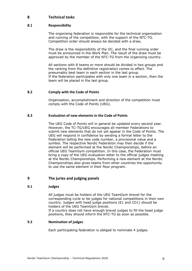#### **8 Technical tasks**

#### **8.1 Responsibility**

The organising federation is responsible for the technical organisation and running of the competition, with the support of the NTC-TG. Competition order should always be decided with a draw.

The draw is the responsibility of the OC, and the final running order must be announced in the Work Plan. The result of the draw must be approved by the member of the NTC-TG from the organizing country.

All sections with 8 teams or more should be divided in two groups and the ranking from the definitive registration comes to effect. The presumably best team in each section in the last group. If the federation participates with only one team in a section, then the team will be placed in the last group.

#### **8.2 Comply with the Code of Points**

Organisation, accomplishment and direction of the competition must comply with the Code of Points (UEG).

#### **8.3 Evaluation of new elements in the Code of Points**

The UEG Code of Points will in general be updated every second year. However, the TC-TG/UEG encourages all member Federations to submit new elements that do not yet appear in the Code of Points. The UEG will respond in confidence by sending a formal letter to the Federation telling the new code number, a provisional value and a symbol. The respective Nordic Federation may then decide if the element will be performed at the Nordic Championships, before an official UEG TeamGym competition. In this case, the Federation must bring a copy of the UEG evaluation letter to the official judges meeting at the Nordic Championships. Performing a new element at the Nordic Championships also gives teams from other countries the opportunity to use the same element in their floor program.

#### **9 The juries and judging panels**

#### **9.1 Judges**

All judges must be holders of the UEG TeamGym brevet for the corresponding cycle or be judges for national competitions in their own country. Judges with head judge positions (E1 and CD1) should be holders of the UEG TeamGym brevet.

If a country does not have enough brevet judges to fill the head judge positions, they should inform the NTC-TG as soon as possible.

#### **9.2 Nomination of judges**

Each participating federation is obliged to nominate 4 judges.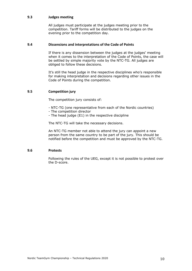#### **9.3 Judges meeting**

All judges must participate at the judges meeting prior to the competition. Tariff forms will be distributed to the judges on the evening prior to the competition day.

#### **9.4 Dissensions and interpretations of the Code of Points**

If there is any dissension between the judges at the judges' meeting when it comes to the interpretation of the Code of Points, the case will be settled by simple majority vote by the NTC-TG. All judges are obliged to follow these decisions.

It's still the head judge in the respective disciplines who's responsible for making interpretation and decisions regarding other issues in the Code of Points during the competition.

#### **9.5 Competition jury**

The competition jury consists of:

- NTC-TG (one representative from each of the Nordic countries)
- The competition director
- The head judge (E1) in the respective discipline

The NTC-TG will take the necessary decisions.

An NTC-TG member not able to attend the jury can appoint a new person from the same country to be part of the jury. This should be notified before the competition and must be approved by the NTC-TG.

#### **9.6 Protests**

Following the rules of the UEG, except it is not possible to protest over the D-score.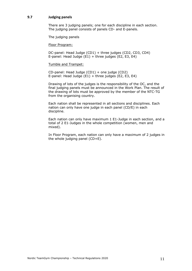#### **9.7 Judging panels**

There are 3 judging panels; one for each discipline in each section. The judging panel consists of panels CD- and E-panels.

The judging panels

Floor Program:

DC-panel: Head Judge (CD1) + three judges (CD2, CD3, CD4) E-panel: Head Judge  $(E1)$  + three judges  $(E2, E3, E4)$ 

Tumble and Trampet:

CD-panel: Head Judge (CD1) + one judge (CD2) E-panel: Head Judge  $(E1)$  + three judges  $(E2, E3, E4)$ 

Drawing of lots of the judges is the responsibility of the OC, and the final judging panels must be announced in the Work Plan. The result of the drawing of lots must be approved by the member of the NTC-TG from the organising country.

Each nation shall be represented in all sections and disciplines. Each nation can only have one judge in each panel (CD/E) in each discipline.

Each nation can only have maximum 1 E1-Judge in each section, and a total of 2 E1-Judges in the whole competition (women, men and mixed).

In Floor Program, each nation can only have a maximum of 2 judges in the whole judging panel (CD+E).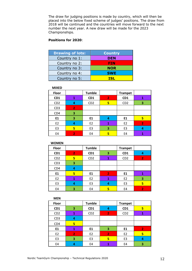The draw for judging positions is made by country, which will then be placed into the below fixed scheme of judges' positions. The draw from 2018 will be continued and the countries will move forward to the next number the next year. A new draw will be made for the 2023 Championships.

#### **Positions for 2020**:

| <b>Drawing of lots:</b> | <b>Country</b> |
|-------------------------|----------------|
| Country no 1:           | <b>DEN</b>     |
| Country no 2:           | FIN            |
| Country no 3:           | <b>NOR</b>     |
| Country no 4:           | <b>SWE</b>     |
| Country no 5:           | TSI            |

#### **MIXED**

| Floor           |                | <b>Tumble</b>   |              | <b>Trampet</b>  |                |
|-----------------|----------------|-----------------|--------------|-----------------|----------------|
| CD <sub>1</sub> | 1              | CD1             | $\mathbf{2}$ | CD <sub>1</sub> | 1              |
| CD <sub>2</sub> | 4              | CD <sub>2</sub> | 5            | CD <sub>2</sub> | 3              |
| CD <sub>3</sub> | $\overline{2}$ |                 |              |                 |                |
| CD4             | 3              |                 |              |                 |                |
| E1              | 3              | E1              | 4            | E1              | 5              |
| E <sub>2</sub>  | 4              | E <sub>2</sub>  | 1            | E <sub>2</sub>  | $\overline{2}$ |
| E <sub>3</sub>  | 5              | E <sub>3</sub>  | 3            | E <sub>3</sub>  | 4              |
| E4              | $\overline{2}$ | E4              | 5            | E4              |                |

| <b>WOMEN</b>    |                |                 |                |                 |                |
|-----------------|----------------|-----------------|----------------|-----------------|----------------|
| <b>Floor</b>    |                | <b>Tumble</b>   |                | <b>Trampet</b>  |                |
| CD1             | $\overline{2}$ | CD1             | 3              | CD1             | 4              |
| CD <sub>2</sub> | 5              | CD <sub>2</sub> | 1              | CD <sub>2</sub> | $\overline{2}$ |
| CD <sub>3</sub> | 3              |                 |                |                 |                |
| CD4             | 4              |                 |                |                 |                |
| E1              | 5              | E1              | $\overline{2}$ | E1              | 1              |
| E <sub>2</sub>  | 1              | E <sub>2</sub>  | 1              | E <sub>2</sub>  | 3              |
| E <sub>3</sub>  | 4              | E <sub>3</sub>  | 4              | E <sub>3</sub>  | 5              |
| E4              | 3              | E4              | 5              | E4              | $\overline{2}$ |

| <b>MEN</b>      |                |                 |                |                 |                |
|-----------------|----------------|-----------------|----------------|-----------------|----------------|
| <b>Floor</b>    |                | <b>Tumble</b>   |                | <b>Trampet</b>  |                |
| CD <sub>1</sub> | 3              | CD <sub>1</sub> | 4              | CD <sub>1</sub> | 5              |
| CD <sub>2</sub> | 1              | CD <sub>2</sub> | $\overline{2}$ | CD <sub>2</sub> | 1              |
| CD <sub>3</sub> | 4              |                 |                |                 |                |
| CD4             | 5              |                 |                |                 |                |
| E1              | 1              | E1              | 3              | E1              | $\overline{2}$ |
| E <sub>2</sub>  | $\overline{2}$ | E <sub>2</sub>  | $\mathbf{2}$   | E <sub>2</sub>  | 5              |
| E <sub>3</sub>  | 3              | E3              | 5              | E <sub>3</sub>  | 4              |
| E4              |                | E4              | 1              | E4              | 3              |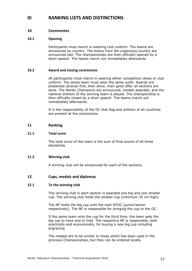# **III RANKING LISTS AND DISTINCTIONS**

#### **10 Ceremonies**

#### **10.1 Opening**

Participants must march in wearing club uniform. The teams are announced by country. The teams from the organising country are announced last. The championships are then officially opened by a short speech. The teams march out immediately afterwards.

#### **10.2 Award and closing ceremonies**

All participants must march in wearing either competition dress or club uniform. The whole team must wear the same outfit. Awards are presented (bronze first, then silver, then gold) after all sections are done. The Nordic Champions are announced, medals awarded, and the national anthem of the winning team is played. The championship is then officially closed by a short speech. The teams march out immediately afterwards.

It is the responsibility of the OC that flag and anthem of all countries are present at the ceremonies.

#### **11 Ranking**

#### **11.1 Total score**

The total score of the team is the sum of final scores of all three disciplines.

#### **11.2 Winning club**

A winning club will be announced for each of the sections.

#### **12 Cups, medals and diplomas**

#### **12.1 To the winning club**

The winning club in each section is awarded one big and one smaller cup. The winning club holds the smaller cup (minimum 35 cm high).

The NF holds the big cup until the next NTGC (junior/senior respectively). The NF is responsible for bringing the cup to the OC.

If the same team wins the cup for the third time, the team gets the big cup to have and to hold. The respective NF is responsible, both practically and economically, for buying a new big cup including engraving.

The medals are to be similar to those which has been used in the previous Championships, but they can be ordered locally.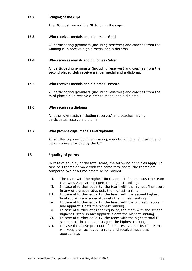#### **12.2 Bringing of the cups**

The OC must remind the NF to bring the cups.

#### **12.3 Who receives medals and diplomas - Gold**

All participating gymnasts (including reserves) and coaches from the winning club receive a gold medal and a diploma.

#### **12.4 Who receives medals and diplomas - Silver**

All participating gymnasts (including reserves) and coaches from the second placed club receive a silver medal and a diploma.

#### **12.5 Who receives medals and diplomas - Bronze**

All participating gymnasts (including reserves) and coaches from the third placed club receive a bronze medal and a diploma.

#### **12.6 Who receives a diploma**

All other gymnasts (including reserves) and coaches having participated receive a diploma.

#### **12.7 Who provide cups, medals and diplomas**

All smaller cups including engraving, medals including engraving and diplomas are provided by the OC.

#### **13 Equality of points**

In case of equality of the total score, the following principles apply. In case of 3 teams or more with the same total score, the teams are compared two at a time before being ranked:

- I. The team with the highest final scores in 2 apparatus (the team that wins 2 apparatus) gets the highest ranking.
- II. In case of further equality, the team with the highest final score in any of the apparatus gets the highest ranking.
- III. In case of further equality, the team with the second highest final score in any apparatus gets the highest ranking.
- IV. In case of further equality, the team with the highest E score in any apparatus gets the highest ranking.
- V. In case of further of further equality, the team with the second highest E score in any apparatus gets the highest ranking.
- VI. In case of further equality, the team with the highest total E score in all three apparatus gets the highest ranking.
- VII. In case the above procedure fails to resolve the tie, the teams will keep their achieved ranking and receive medals as appropriate.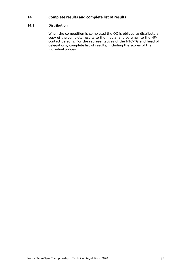### **14 Complete results and complete list of results**

#### **14.1 Distribution**

When the competition is completed the OC is obliged to distribute a copy of the complete results to the media, and by email to the NFcontact persons. For the representatives of the NTC-TG and head of delegations, complete list of results, including the scores of the individual judges.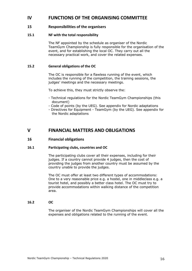# **IV FUNCTIONS OF THE ORGANISING COMMITTEE**

#### **15 Responsibilities of the organisers**

#### **15.1 NF with the total responsibility**

The NF appointed by the schedule as organiser of the Nordic TeamGym Championship is fully responsible for the organisation of the event, and for establishing the local OC. They carry out all the necessary practical work, and cover the related expenses.

#### **15.2 General obligations of the OC**

The OC is responsible for a flawless running of the event, which includes the running of the competition, the training sessions, the judges' meetings and the necessary meetings.

To achieve this, they must strictly observe the:

- Technical regulations for the Nordic TeamGym Championships (this document)
- Code of points (by the UEG). See appendix for Nordic adaptations
- Directives for Equipment TeamGym (by the UEG). See appendix for the Nordic adaptations

# **V FINANCIAL MATTERS AND OBLIGATIONS**

#### **16 Financial obligations**

#### **16.1 Participating clubs, countries and OC**

The participating clubs cover all their expenses, including for their judges. If a country cannot provide 4 judges, then the cost of providing the judges from another country must be assumed by the country unable to provide the judges.

The OC must offer at least two different types of accommodations: One to a very reasonable price e.g. a hostel, one in middleclass e.g. a tourist hotel, and possibly a better class hotel. The OC must try to provide accommodations within walking distance of the competition area.

#### **16.2 OC**

The organiser of the Nordic TeamGym Championships will cover all the expenses and obligations related to the running of the event.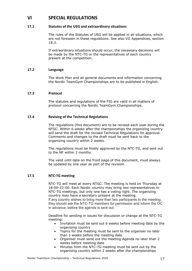# **VI SPECIAL REGULATIONS**

#### **17.1 Statutes of the UEG and extraordinary situations**

The rules of the Statutes of UEG will be applied in all situations, which are not foreseen in these regulations. See also VII Appendices, section 18.3.

If extraordinary situations should occur, the necessary decisions will be made by the NTC-TG or the representatives of each country present at the competition.

#### **17.2 Language**

The Work Plan and all general documents and information concerning the Nordic TeamGym Championships are to be published in English.

#### **17.3 Protocol**

The statutes and regulations of the FIG are valid in all matters of protocol concerning the Nordic TeamGym Championships.

#### **17.4 Revising of the Technical Regulations**

The regulations (this document) are to be revised each year during the NTGC. Within 6 weeks after the championships the organizing country will send the draft for the revised Technical Regulations for approval. Comments and changes to the draft must be sent back to the organizing country within 2 weeks.

The regulations must be finally approved by the NTC-TG, and sent out to the NF within 2 months.

The valid until date on the front page of this document, must always be updated by one year as part of the revision.

#### **17.5 NTC-TG meeting**

NTC-TG will meet at every NTGC. The meeting is held on Thursday at 18:00-22:00. Each Nordic country may bring two representatives to NTC-TG meetings, but only one has a voting right. The organizing country may have a secretary present at the meeting.

If any country wishes to bring more than two participants to the meeting, they should ask the NTC-TG members for permission and inform the OC in advance, before the agenda is sent out.

Deadline for sending in issues for discussion or change at the NTC-TG meeting:

- Invitation must be sent out 6 weeks before meeting date by the organising country
- Topics for the meeting must be sent to the organiser no later than 3 weeks before the meeting date
- Organiser must send out the meeting Agenda no later than 2 weeks before meeting date
- Minutes from the NTC-TG meeting must be sent out by the organising country within 2 weeks after the championships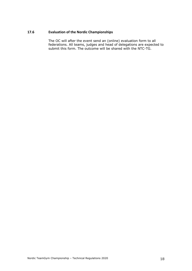#### **17.6 Evaluation of the Nordic Championships**

The OC will after the event send an (online) evaluation form to all federations. All teams, judges and head of delegations are expected to submit this form. The outcome will be shared with the NTC-TG.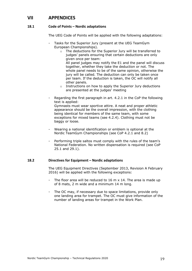# **VII APPENDICES**

#### **18.1 Code of Points – Nordic adaptations**

The UEG Code of Points will be applied with the following adaptations:

- Tasks for the Superior Jury (present at the UEG TeamGym European Championships).
	- o The deductions for the Superior Jury will be transferred to judges' panels ensuring that certain deductions are only given once per team: All panel judges may notify the E1 and the panel will discuss together, whether they take the deduction or not. The whole panel needs to be of the same opinion, otherwise the jury will be called. The deduction can only be taken once per team. If the deduction is taken, the OC will notify all other panels.
	- o Instructions on how to apply the Superior Jury deductions are presented at the judges' meeting
- Regarding the first paragraph in art. 4.2.1 in the CoP the following text is applied: Gymnasts must wear sportive attire. A neat and proper athletic appearance should be the overall impression, with the clothing being identical for members of the same team, with some exceptions for mixed teams (see 4.2.4). Clothing must not be baggy or loose.
- Wearing a national identification or emblem is optional at the Nordic TeamGym Championships (see CoP 4.2.1 and 8.2)
- Performing triple saltos must comply with the rules of the team's National Federation. No written dispensation is required (see CoP 25.1 and 29.1).

#### **18.2 Directives for Equipment – Nordic adaptations**

The UEG Equipment Directives (September 2013, Revision A February 2016) will be applied with the following exceptions:

- The floor area will be reduced to 16 m  $\times$  14. The area is made up of 8 mats, 2 m wide and a minimum 14 m long.
- The OC may, if necessary due to space limitations, provide only one landing area for trampet. The OC must give information of the number of landing areas for trampet in the Work Plan.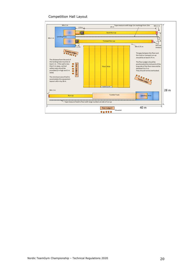#### Competition Hall Layout

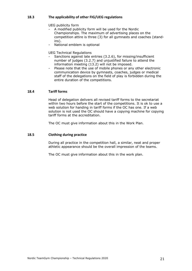#### **18.3 The applicability of other FIG/UEG regulations**

UEG publicity form

- A modified publicity form will be used for the Nordic Championships. The maximum of advertising places on the competition attire is three (3) for all gymnasts and coaches (standins).
- National emblem is optional

UEG Technical Regulations

- Sanctions against late entries (3.2.6), for missing/insufficient number of judges (3.2.7) and unjustified failure to attend the information meeting (13.2) will not be imposed.
- Please note that the use of mobile phones or any other electronic communication device by gymnasts, coaches, judges or medical staff of the delegations on the field of play is forbidden during the entire duration of the competitions.

#### **18.4 Tariff forms**

Head of delegation delivers all revised tariff forms to the secretariat within two hours before the start of the competitions. It is ok to use a web solution for handing in tariff forms if the OC has one. If a web solution is not used the OC should have a copying machine for copying tariff forms at the accreditation.

The OC must give information about this in the Work Plan.

#### **18.5 Clothing during practice**

During all practice in the competition hall, a similar, neat and proper athletic appearance should be the overall impression of the teams.

The OC must give information about this in the work plan.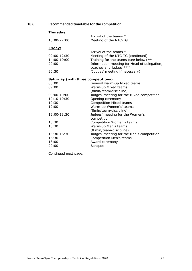# **18.6 Recommended timetable for the competition**

# **Thursday:**

|                | Arrival of the teams *                                                |
|----------------|-----------------------------------------------------------------------|
| 18:00-22:00    | Meeting of the NTC-TG                                                 |
| <u>Friday:</u> |                                                                       |
|                | Arrival of the teams *                                                |
| 09:00-12:30    | Meeting of the NTC-TG (continued)                                     |
| 14:00-19:00    | Training for the teams (see below) **                                 |
| 20:00          | Information meeting for Head of delegation,<br>coaches and judges *** |
| 20:30          | (Judges' meeting if necessary)                                        |
|                | <b>Saturday (with three competitions):</b>                            |
| 08:00          | General warm-up Mixed teams                                           |
| 09:00          | Warm-up Mixed teams                                                   |
|                | (8min/team/discipline)                                                |
| 09:00-10:00    | Judges' meeting for the Mixed competition                             |
| 10:10-10:30    | Opening ceremony                                                      |
| 10:30          | <b>Competition Mixed teams</b>                                        |
| 12:00          | Warm-up Women's' teams                                                |
|                | (8min/team/discipline)                                                |
| 12:00-13:30    | Judges' meeting for the Women's                                       |
|                | competition                                                           |
| 13:30          | Competition Women's teams                                             |
| 15:30          | Warm-up Men's teams                                                   |
|                | (8 min/team/discipline)                                               |
| 15:30-16:30    | Judges' meeting for the Men's competition                             |
| 16:30          | <b>Competition Men's teams</b>                                        |
| 18:00          | Award ceremony                                                        |
| 20:00          | <b>Banquet</b>                                                        |

Continued next page.